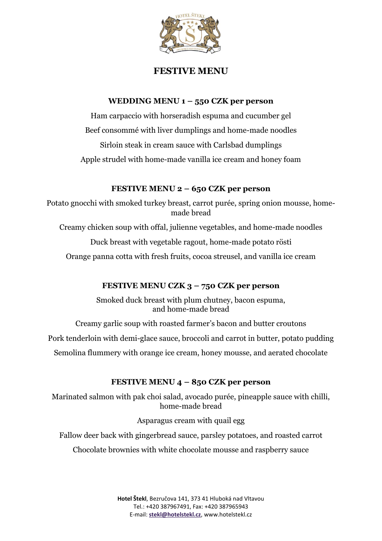

# **FESTIVE MENU**

### **WEDDING MENU 1 – 550 CZK per person**

Ham carpaccio with horseradish espuma and cucumber gel Beef consommé with liver dumplings and home-made noodles Sirloin steak in cream sauce with Carlsbad dumplings Apple strudel with home-made vanilla ice cream and honey foam

## **FESTIVE MENU 2 – 650 CZK per person**

Potato gnocchi with smoked turkey breast, carrot purée, spring onion mousse, homemade bread

Creamy chicken soup with offal, julienne vegetables, and home-made noodles

Duck breast with vegetable ragout, home-made potato rösti

Orange panna cotta with fresh fruits, cocoa streusel, and vanilla ice cream

## **FESTIVE MENU CZK 3 – 750 CZK per person**

Smoked duck breast with plum chutney, bacon espuma, and home-made bread

Creamy garlic soup with roasted farmer's bacon and butter croutons

Pork tenderloin with demi-glace sauce, broccoli and carrot in butter, potato pudding

Semolina flummery with orange ice cream, honey mousse, and aerated chocolate

## **FESTIVE MENU 4 – 850 CZK per person**

Marinated salmon with pak choi salad, avocado purée, pineapple sauce with chilli, home-made bread

Asparagus cream with quail egg

Fallow deer back with gingerbread sauce, parsley potatoes, and roasted carrot

Chocolate brownies with white chocolate mousse and raspberry sauce

**Hotel Štekl**, Bezručova 141, 373 41 Hluboká nad Vltavou Tel.: +420 387967491, Fax: +420 387965943 E-mail: **[stekl@hotelstekl.cz](mailto:stekl@hotelstekl.cz)**, www.hotelstekl.cz